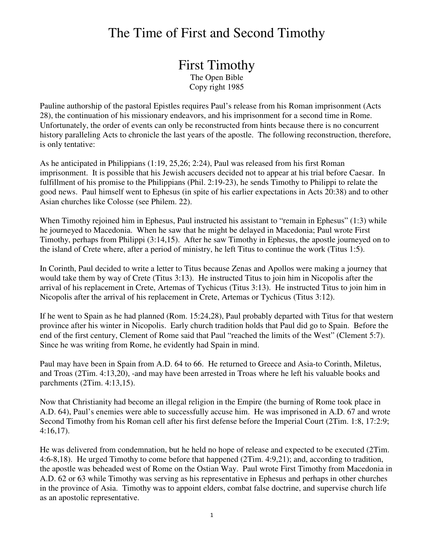## The Time of First and Second Timothy

First Timothy The Open Bible Copy right 1985

Pauline authorship of the pastoral Epistles requires Paul's release from his Roman imprisonment (Acts 28), the continuation of his missionary endeavors, and his imprisonment for a second time in Rome. Unfortunately, the order of events can only be reconstructed from hints because there is no concurrent history paralleling Acts to chronicle the last years of the apostle. The following reconstruction, therefore, is only tentative:

As he anticipated in Philippians (1:19, 25,26; 2:24), Paul was released from his first Roman imprisonment. It is possible that his Jewish accusers decided not to appear at his trial before Caesar. In fulfillment of his promise to the Philippians (Phil. 2:19-23), he sends Timothy to Philippi to relate the good news. Paul himself went to Ephesus (in spite of his earlier expectations in Acts 20:38) and to other Asian churches like Colosse (see Philem. 22).

When Timothy rejoined him in Ephesus, Paul instructed his assistant to "remain in Ephesus" (1:3) while he journeyed to Macedonia. When he saw that he might be delayed in Macedonia; Paul wrote First Timothy, perhaps from Philippi (3:14,15). After he saw Timothy in Ephesus, the apostle journeyed on to the island of Crete where, after a period of ministry, he left Titus to continue the work (Titus 1:5).

In Corinth, Paul decided to write a letter to Titus because Zenas and Apollos were making a journey that would take them by way of Crete (Titus 3:13). He instructed Titus to join him in Nicopolis after the arrival of his replacement in Crete, Artemas of Tychicus (Titus 3:13). He instructed Titus to join him in Nicopolis after the arrival of his replacement in Crete, Artemas or Tychicus (Titus 3:12).

If he went to Spain as he had planned (Rom. 15:24,28), Paul probably departed with Titus for that western province after his winter in Nicopolis. Early church tradition holds that Paul did go to Spain. Before the end of the first century, Clement of Rome said that Paul "reached the limits of the West" (Clement 5:7). Since he was writing from Rome, he evidently had Spain in mind.

Paul may have been in Spain from A.D. 64 to 66. He returned to Greece and Asia-to Corinth, Miletus, and Troas (2Tim. 4:13,20), -and may have been arrested in Troas where he left his valuable books and parchments (2Tim. 4:13,15).

Now that Christianity had become an illegal religion in the Empire (the burning of Rome took place in A.D. 64), Paul's enemies were able to successfully accuse him. He was imprisoned in A.D. 67 and wrote Second Timothy from his Roman cell after his first defense before the Imperial Court (2Tim. 1:8, 17:2:9; 4:16,17).

He was delivered from condemnation, but he held no hope of release and expected to be executed (2Tim. 4:6-8,18). He urged Timothy to come before that happened (2Tim. 4:9,21); and, according to tradition, the apostle was beheaded west of Rome on the Ostian Way. Paul wrote First Timothy from Macedonia in A.D. 62 or 63 while Timothy was serving as his representative in Ephesus and perhaps in other churches in the province of Asia. Timothy was to appoint elders, combat false doctrine, and supervise church life as an apostolic representative.